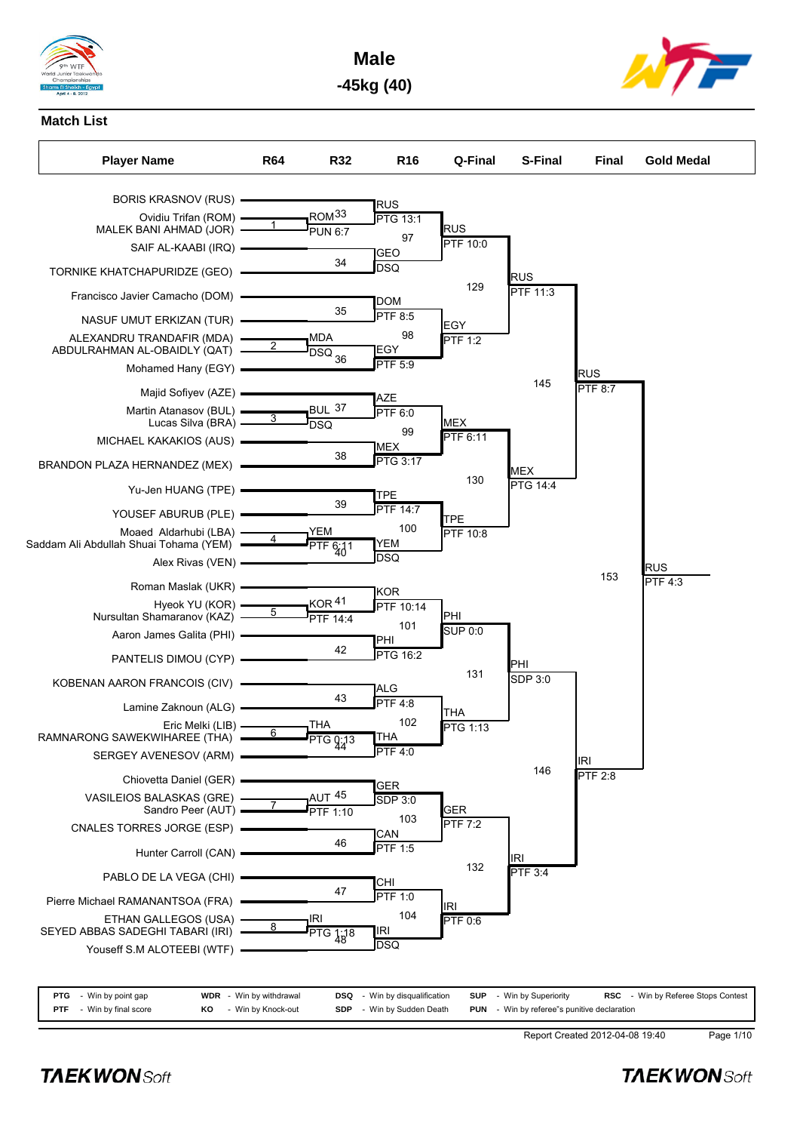

**Male -45kg (40)**



### **Match List**



**PTG** - Win by point gap **WDR** - Win by withdrawal **DSQ** - Win by disqualification **SUP** - Win by Superiority **RSC** - Win by Referee Stops Contest **PTF** - Win by final score **KO** - Win by Knock-out **SDP** - Win by Sudden Death **PUN** - Win by referee"s punitive declaration

Report Created 2012-04-08 19:40 Page 1/10

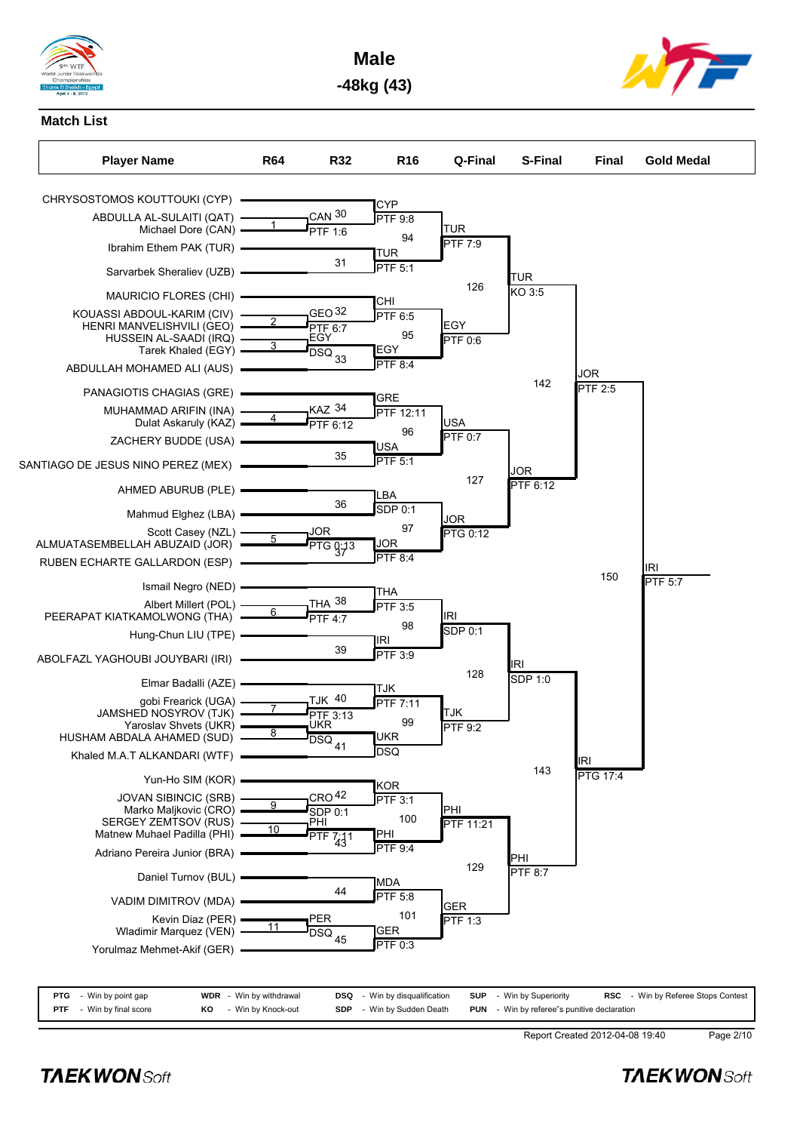

**Male -48kg (43)**



# **Match List**



| <b>PTG</b> - Win by point gap   |    | <b>WDR</b> - Win by withdrawal | <b>DSQ</b> - Win by disqualification | <b>SUP</b> - Win by Superiority                    | <b>RSC</b> - Win by Referee Stops Contest |  |
|---------------------------------|----|--------------------------------|--------------------------------------|----------------------------------------------------|-------------------------------------------|--|
| <b>PTF</b> - Win by final score | KO | - Win by Knock-out             | <b>SDP</b> - Win by Sudden Death     | <b>PUN</b> - Win by referee"s punitive declaration |                                           |  |

Report Created 2012-04-08 19:40 Page 2/10

**TAEKWONSoft**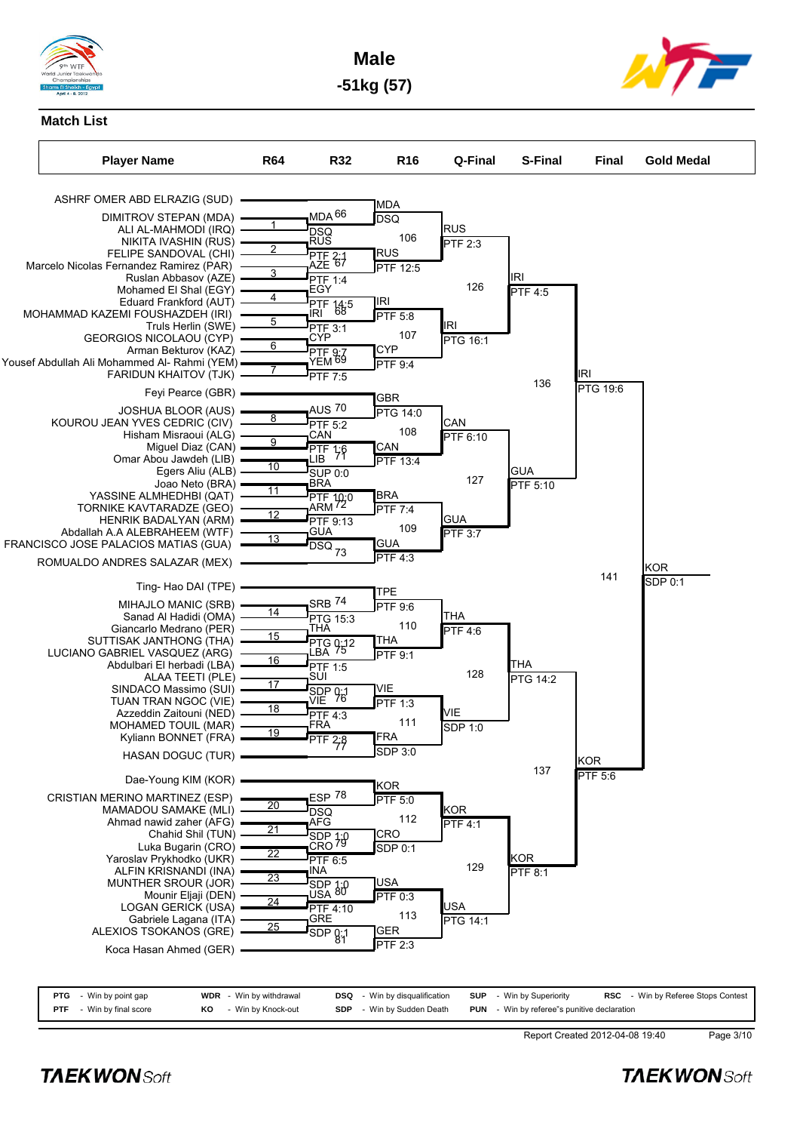

**Male -51kg (57)**



# **Match List**



|  |  | Report Created 2012-04-08 19:40 |
|--|--|---------------------------------|

**PTF** - Win by final score **KO** - Win by Knock-out **SDP** - Win by Sudden Death **PUN** - Win by referee"s punitive declaration

**TAEKWONSoft** 

Page 3/10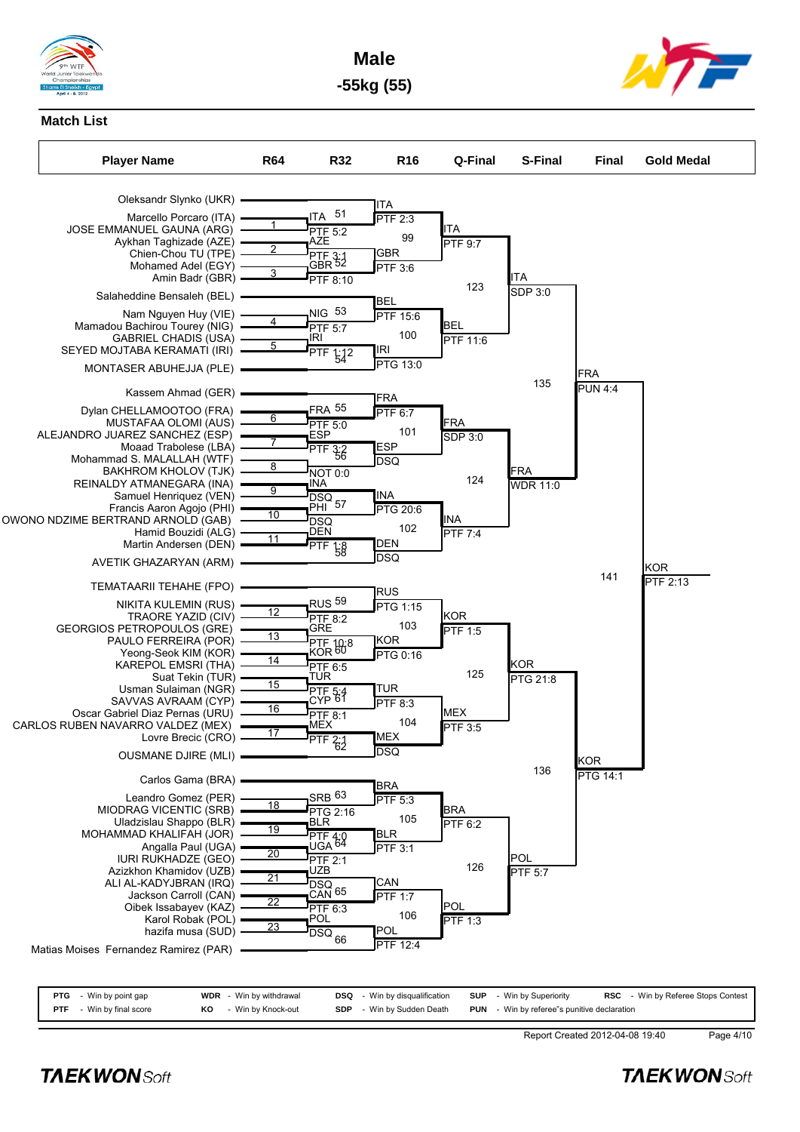

**Male -55kg (55)**



# **Match List**



|            | <b>PTG</b> - Win by point gap |    | <b>WDR</b> - Win by withdrawal | <b>DSQ</b> - Win by disqualification | <b>SUP</b> - Win by Superiority                    | <b>RSC</b> - Win by Referee Stops Contest |
|------------|-------------------------------|----|--------------------------------|--------------------------------------|----------------------------------------------------|-------------------------------------------|
| <b>PTF</b> | - Win by final score          | KO | - Win by Knock-out             | <b>SDP</b> - Win by Sudden Death     | <b>PUN</b> - Win by referee"s punitive declaration |                                           |

Report Created 2012-04-08 19:40 Page 4/10

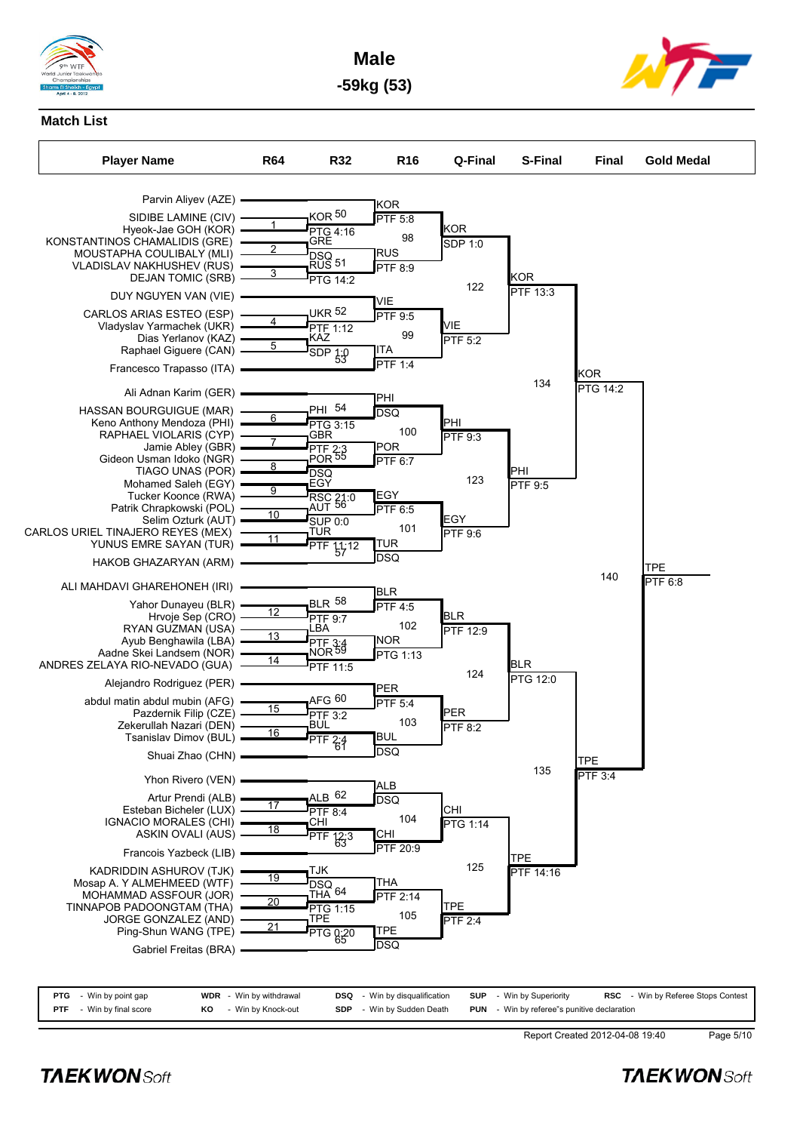

**Male -59kg (53)**



# **Match List**



| <b>PTF</b> - Win by final score | KO | - Win by Knock-out | <b>SDP</b> - Win by Sudden Death | <b>PUN</b> - Win by referee"s punitive declaration |           |
|---------------------------------|----|--------------------|----------------------------------|----------------------------------------------------|-----------|
|                                 |    |                    |                                  |                                                    |           |
|                                 |    |                    |                                  | Report Created 2012-04-08 19:40                    | Page 5/10 |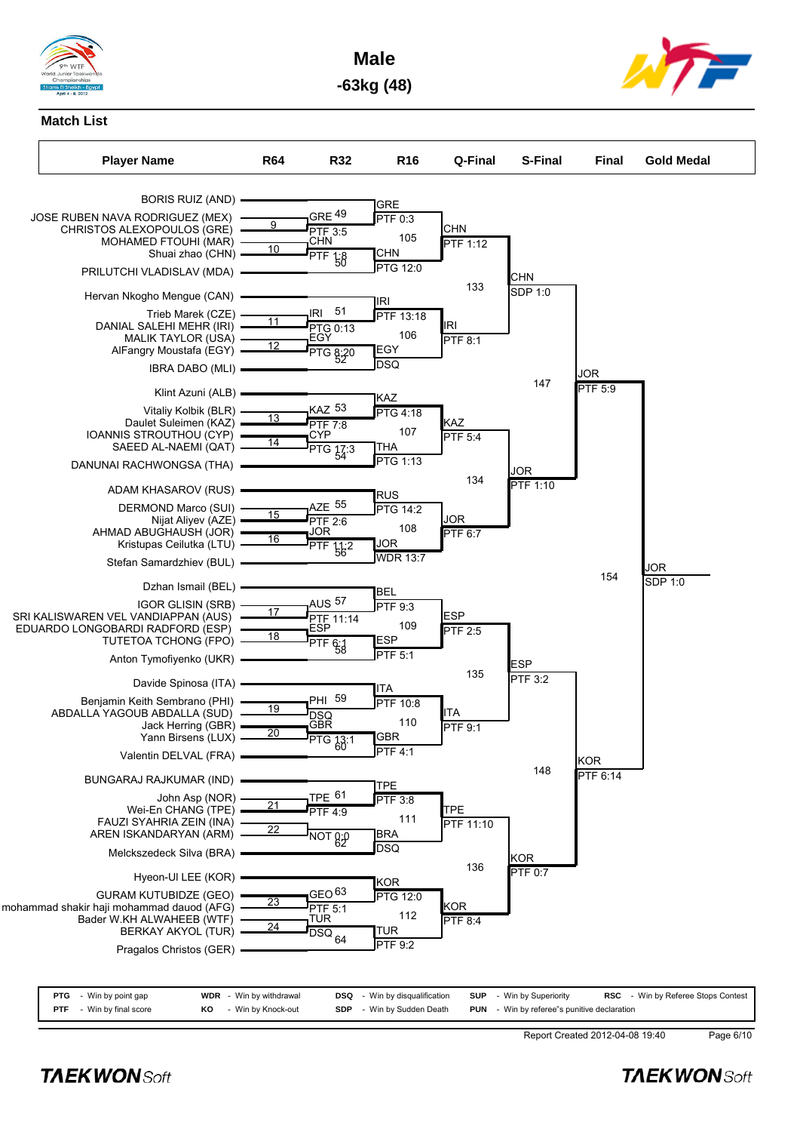

**Male -63kg (48)**



#### **Match List**



| <b>PTG</b> - Win by point gap   |    | <b>WDR</b> - Win by withdrawal | <b>DSQ</b> - Win by disqualification | <b>SUP</b> - Win by Superiority                    | RSC - Win by Referee Stops Contes |
|---------------------------------|----|--------------------------------|--------------------------------------|----------------------------------------------------|-----------------------------------|
| <b>PTF</b> - Win by final score | KO | - Win by Knock-out             | <b>SDP</b> - Win by Sudden Death     | <b>PUN</b> - Win by referee"s punitive declaration |                                   |

Report Created 2012-04-08 19:40 Page 6/10

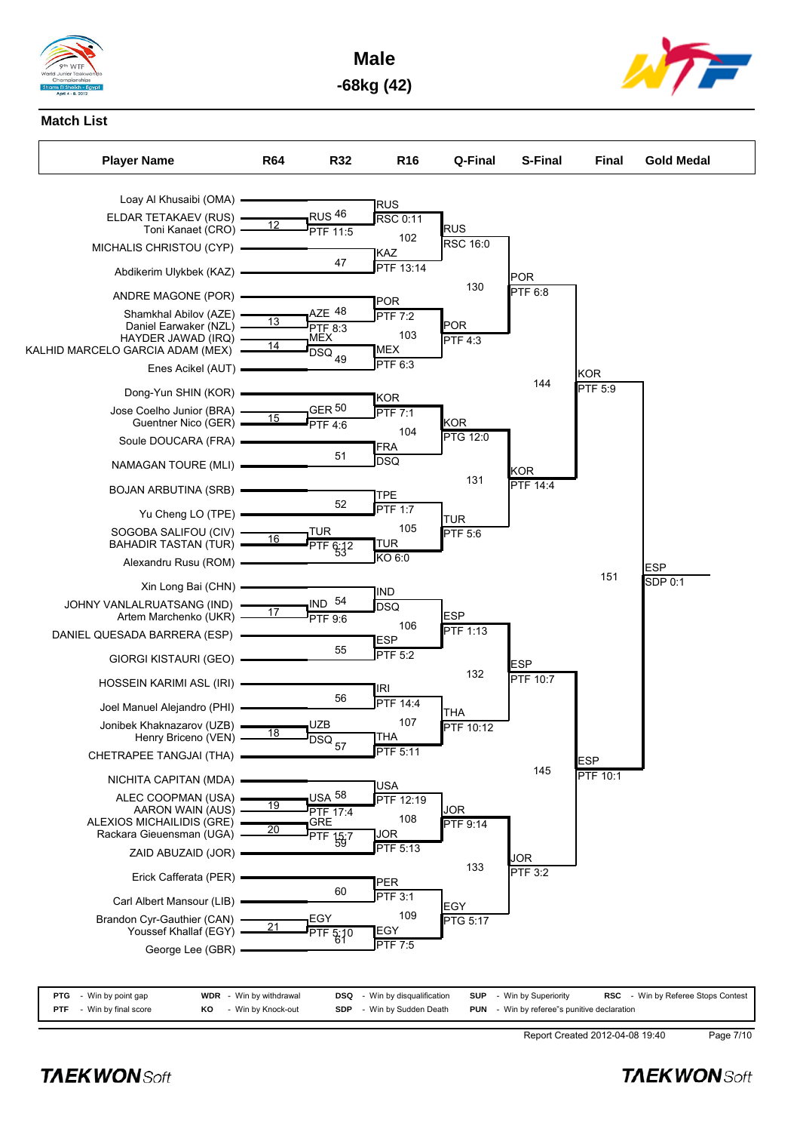

**Male -68kg (42)**



### **Match List**



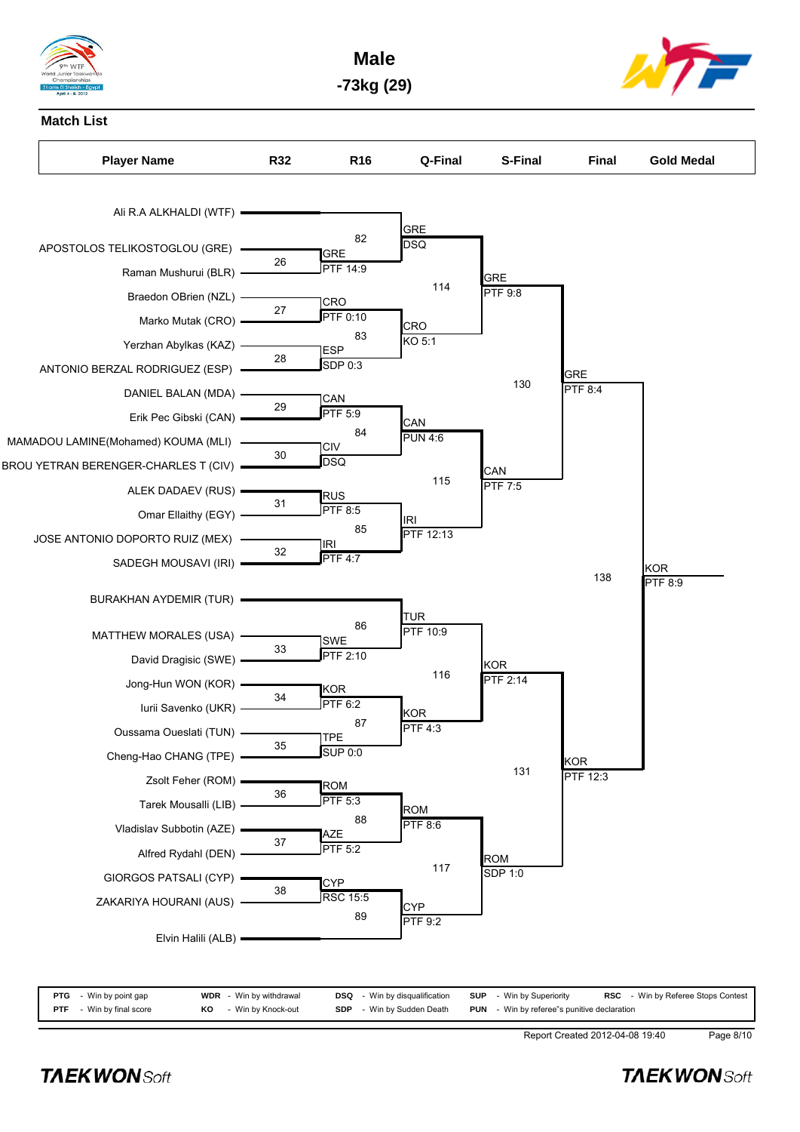

**Male -73kg (29)**



**Match List** Player Name **R32** R16 Q-Final S-Final Final Gold Medal Ali R.A ALKHALDI (WTF) APOSTOLOS TELIKOSTOGLOU (GRE) Raman Mushurui (BLR) **GRE** 26 PTF 14:9 Braedon OBrien (NZL) Marko Mutak (CRO) CRO  $27 \overline{P}$  PTF 0:10 Yerzhan Abylkas (KAZ) ANTONIO BERZAL RODRIGUEZ (ESP) ESP  $\overline{38}$   $\overline{SDP}$  0:3 DANIEL BALAN (MDA) Erik Pec Gibski (CAN) CAN 29  $\frac{\text{PAIV}}{\text{PTF } 5.9}$ MAMADOU LAMINE(Mohamed) KOUMA (MLI) BROU YETRAN BERENGER-CHARLES T (CIV) CIV  $\frac{810}{20}$ ALEK DADAEV (RUS) Omar Ellaithy (EGY) RUS  $31 \qquad \frac{\text{NOS}}{\text{PTF 8:5}}$ JOSE ANTONIO DOPORTO RUIZ (MEX) SADEGH MOUSAVI (IRI) IRI  $rac{100}{\text{PTF 4:7}}$ BURAKHAN AYDEMIR (TUR) MATTHEW MORALES (USA) David Dragisic (SWE) SWE  $\frac{9}{\text{PTF 2:10}}$ Jong-Hun WON (KOR) -Iurii Savenko (UKR) KOR  $\frac{100}{\text{PTF } 6:2}$ Oussama Oueslati (TUN) Cheng-Hao CHANG (TPE) TPE  $\frac{112}{\text{SUP } 0.0}$ Zsolt Feher (ROM) Tarek Mousalli (LIB) ROM  $\frac{100}{\text{PTF} 5:3}$ Vladislav Subbotin (AZE) Alfred Rydahl (DEN) AZE  $37 \frac{\text{PEE}}{\text{PTF } 5.2}$ GIORGOS PATSALI (CYP) ZAKARIYA HOURANI (AUS) **CYP** 38 RSC 15:5 Elvin Halili (ALB) **GRE**  $82 \overline{DSQ}$ CRO 83  $\frac{616}{160}$ **CAN**  $\overline{PUN 4:6}$ IRI  $85$   $\overline{PTF}$  12:13 TUR  $\frac{186}{\text{PTF } 10.9}$ KOR 87 PTF 4:3 ROM  $88$  PTF 8:6 CY<sub>F</sub> 89  $\overline{PTF}$  9:2 GRE  $114$  PTF 9:8 **CAN** 115  $\overline{PTF}$  7:5 KOR 116  $\overline{PTF\ 2:14}$ ROM 117  $SDP 1:0$ GRE  $130$  PTF 8:4 KOR 131  $\overline{PTF}$  12:3 KOR 138  $\overline{PTF}$  8:9

| <b>PTG</b> | - Win by point gap   |    | <b>WDR</b> - Win by withdrawal | <b>DSQ</b> - Win by disqualification | <b>SUP</b> - Win by Superiority                    | <b>RSC</b> - Win by Referee Stops Contest |
|------------|----------------------|----|--------------------------------|--------------------------------------|----------------------------------------------------|-------------------------------------------|
| <b>PTF</b> | - Win by final score | KO | - Win by Knock-out             | <b>SDP</b> - Win by Sudden Death     | <b>PUN</b> - Win by referee"s punitive declaration |                                           |

Report Created 2012-04-08 19:40 Page 8/10

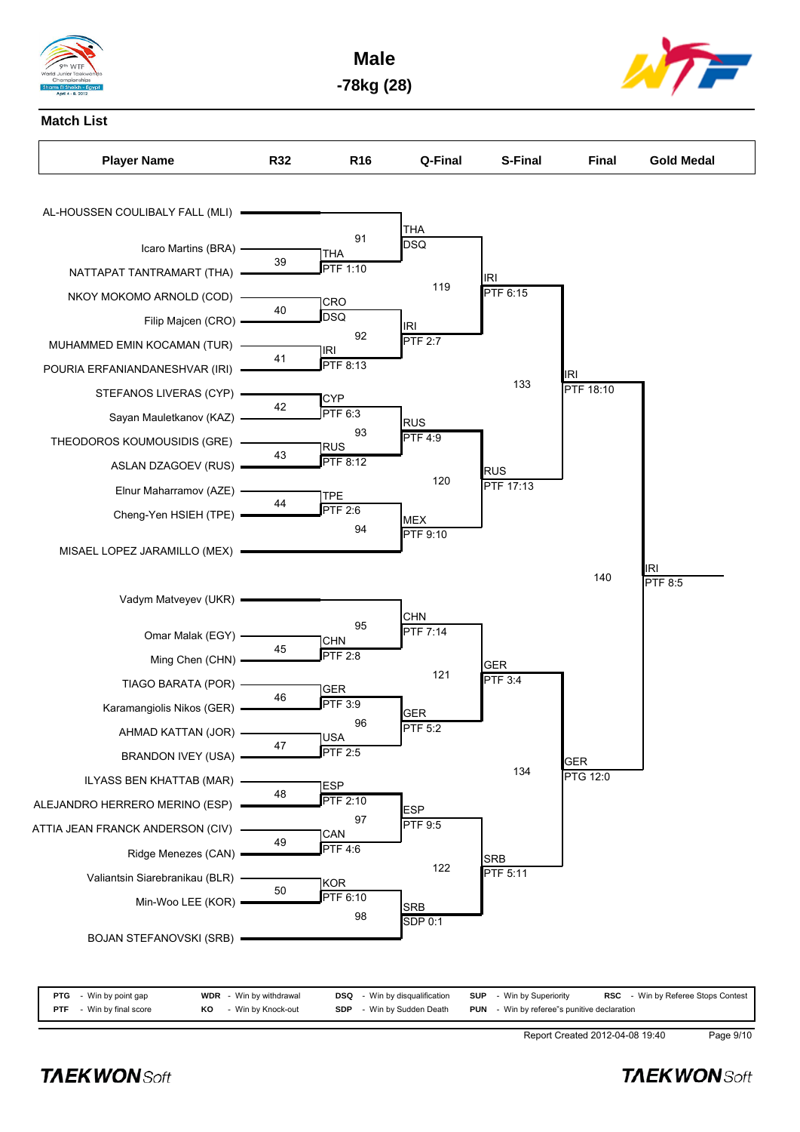

**Male -78kg (28)**





| <b>PTG</b> - Win by point gap   |    | <b>WDR</b> - Win by withdrawal | <b>DSQ</b> - Win by disqualification | <b>SUP</b> - Win by Superiority                    | <b>RSC</b> - Win by Referee Stops Contest |
|---------------------------------|----|--------------------------------|--------------------------------------|----------------------------------------------------|-------------------------------------------|
| <b>PTF</b> - Win by final score | KO | - Win by Knock-out             | <b>SDP</b> - Win by Sudden Death     | <b>PUN</b> - Win by referee"s punitive declaration |                                           |

Report Created 2012-04-08 19:40 Page 9/10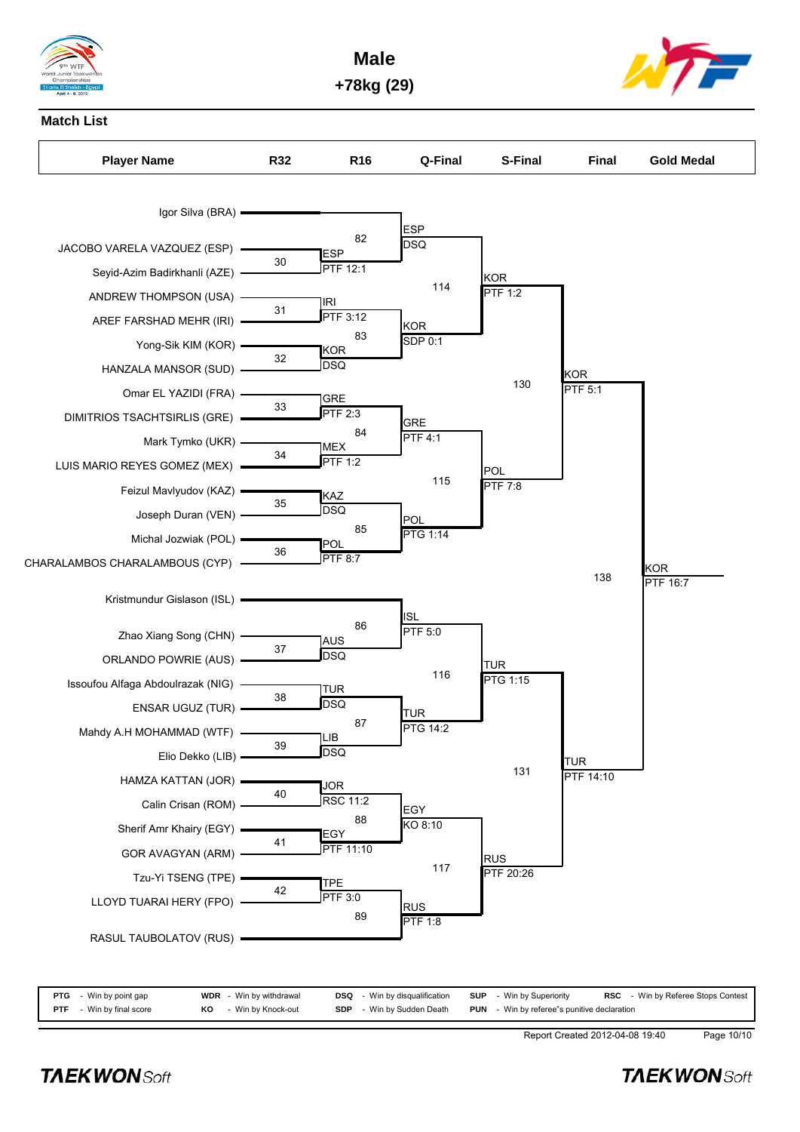

**Male +78kg (29)**



### **Match List**



| <b>PTG</b> - Win by point gap   |    | <b>WDR</b> - Win by withdrawal | <b>DSQ</b> - Win by disqualification | <b>SUP</b> - Win by Superiority                    | <b>RSC</b> - Win by Referee Stops Contest |
|---------------------------------|----|--------------------------------|--------------------------------------|----------------------------------------------------|-------------------------------------------|
| <b>PTF</b> - Win by final score | KO | - Win by Knock-out             | <b>SDP</b> - Win by Sudden Death     | <b>PUN</b> - Win by referee"s punitive declaration |                                           |

Report Created 2012-04-08 19:40 Page 10/10

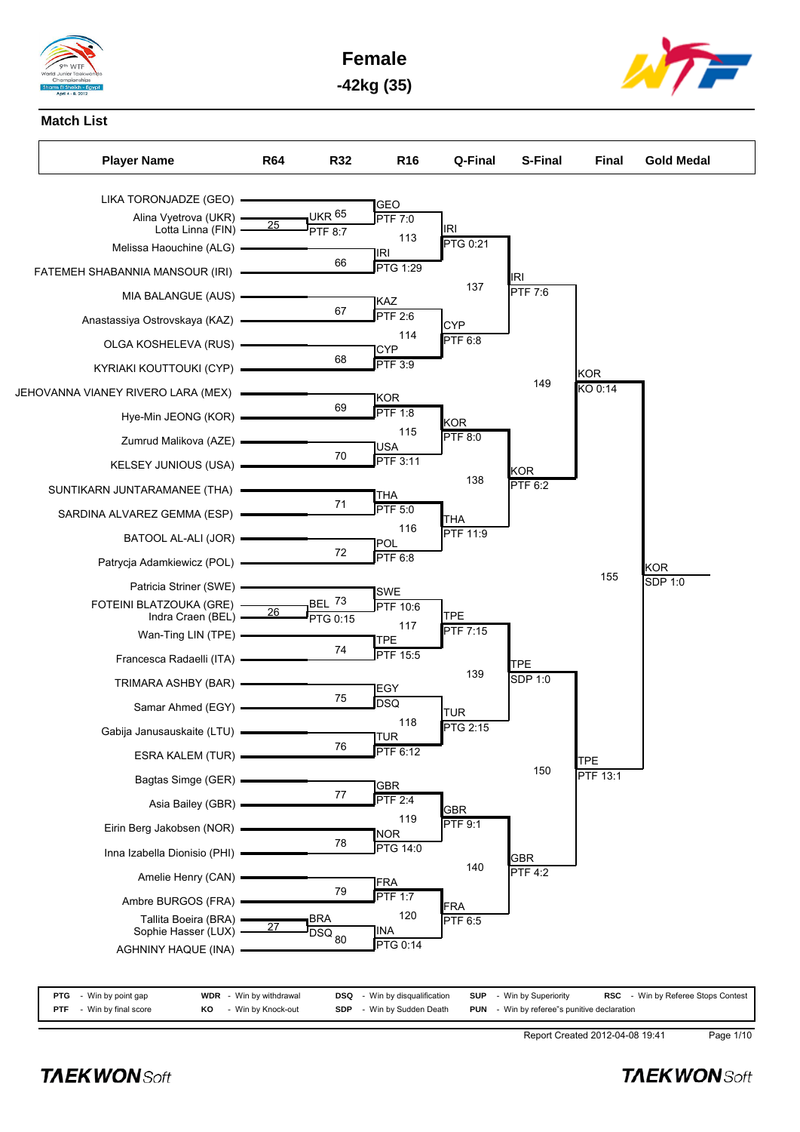







Report Created 2012-04-08 19:41 Page 1/10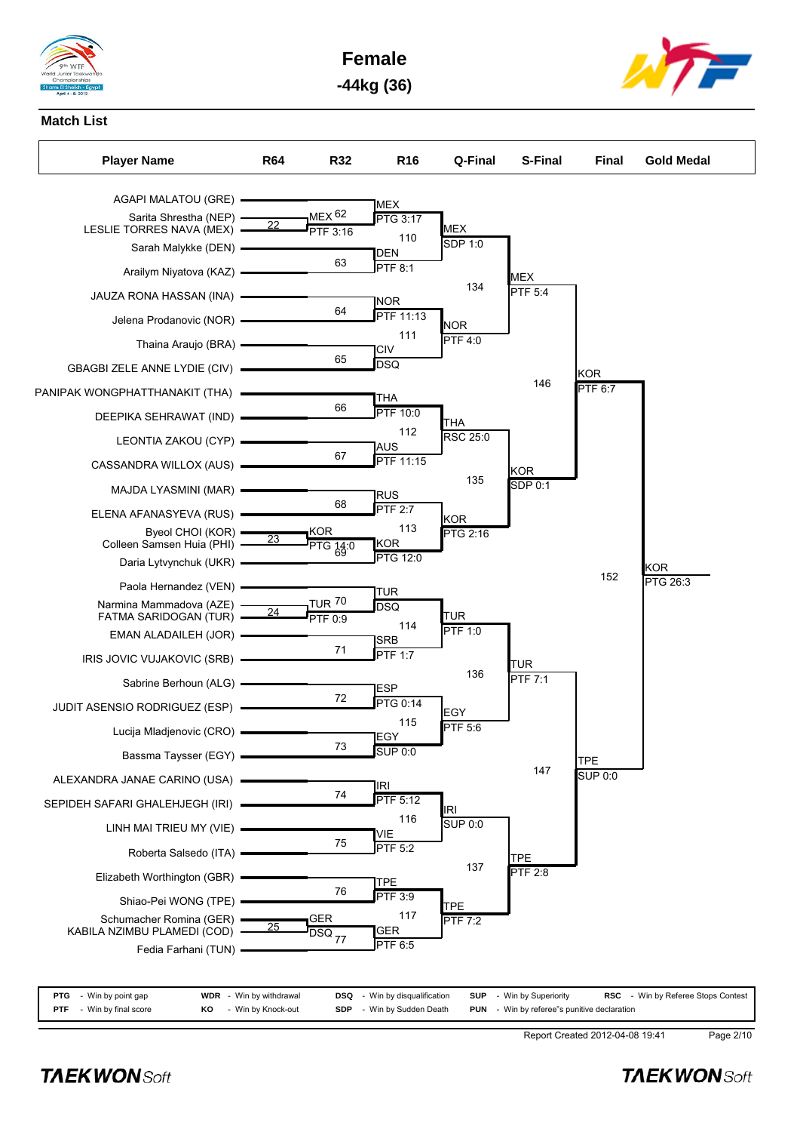







| <b>PTG</b> - Win by point gap   |    | <b>WDR</b> - Win by withdrawal | <b>DSQ</b> - Win by disqualification | <b>SUP</b> - Win by Superiority                    | <b>RSC</b> - Win by Referee Stops Contest |
|---------------------------------|----|--------------------------------|--------------------------------------|----------------------------------------------------|-------------------------------------------|
| <b>PTF</b> - Win by final score | KO | - Win by Knock-out             | <b>SDP</b> - Win by Sudden Death     | <b>PUN</b> - Win by referee"s punitive declaration |                                           |

Report Created 2012-04-08 19:41 Page 2/10

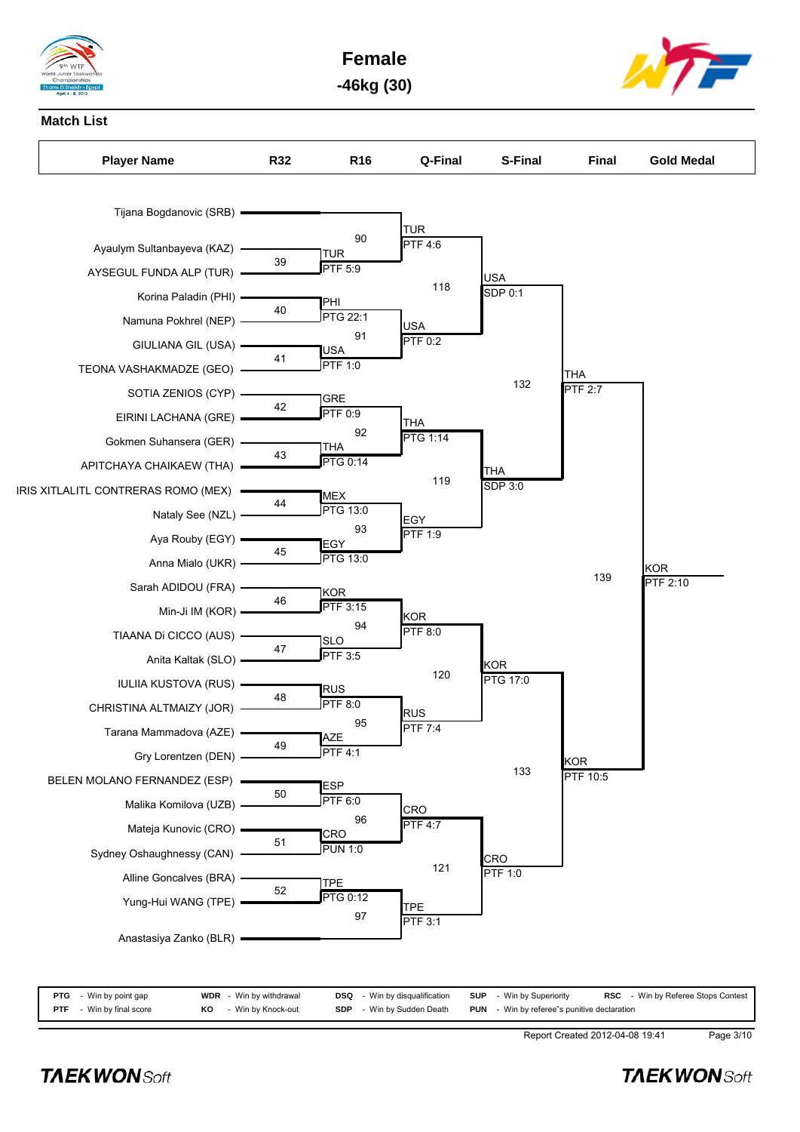

**Female -46kg (30)**



### **Match List**



| <b>PTG</b> - Win by point gap     |    | <b>WDR</b> - Win by withdrawal | <b>DSQ</b> - Win by disqualification | <b>SUP</b> - Win by Superiority                    | <b>RSC</b> - Win by Referee Stops Contest |
|-----------------------------------|----|--------------------------------|--------------------------------------|----------------------------------------------------|-------------------------------------------|
| <b>PTF</b> $-$ Win by final score | KO | - Win by Knock-out             | <b>SDP</b> - Win by Sudden Death     | <b>PUN</b> - Win by referee"s punitive declaration |                                           |

Report Created 2012-04-08 19:41 Page 3/10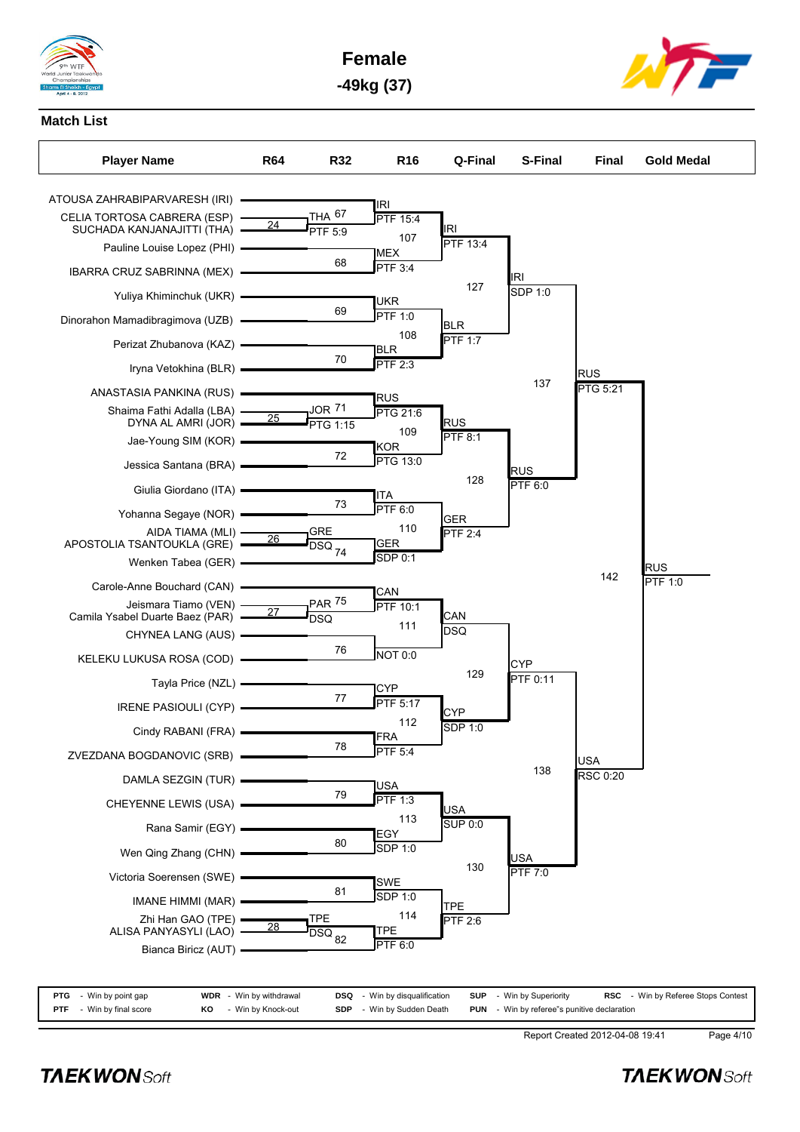







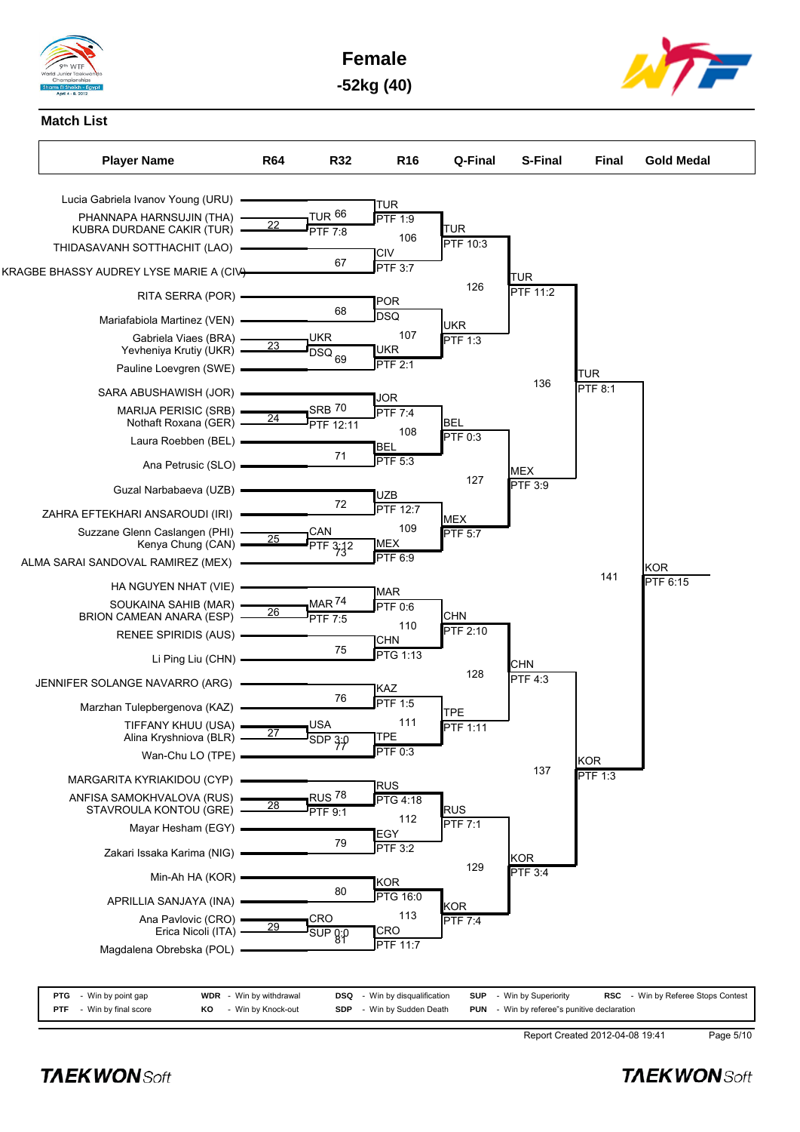







| <b>PTG</b> - Win by point gap   |     | <b>WDR</b> - Win by withdrawal | <b>DSQ</b> - Win by disqualification | <b>SUP</b> - Win by Superiority                    | <b>RSC</b> - Win by Referee Stops Contest |
|---------------------------------|-----|--------------------------------|--------------------------------------|----------------------------------------------------|-------------------------------------------|
| <b>PTF</b> - Win by final score | KO. | - Win by Knock-out             | <b>SDP</b> - Win by Sudden Death     | <b>PUN</b> - Win by referee"s punitive declaration |                                           |

Report Created 2012-04-08 19:41 Page 5/10

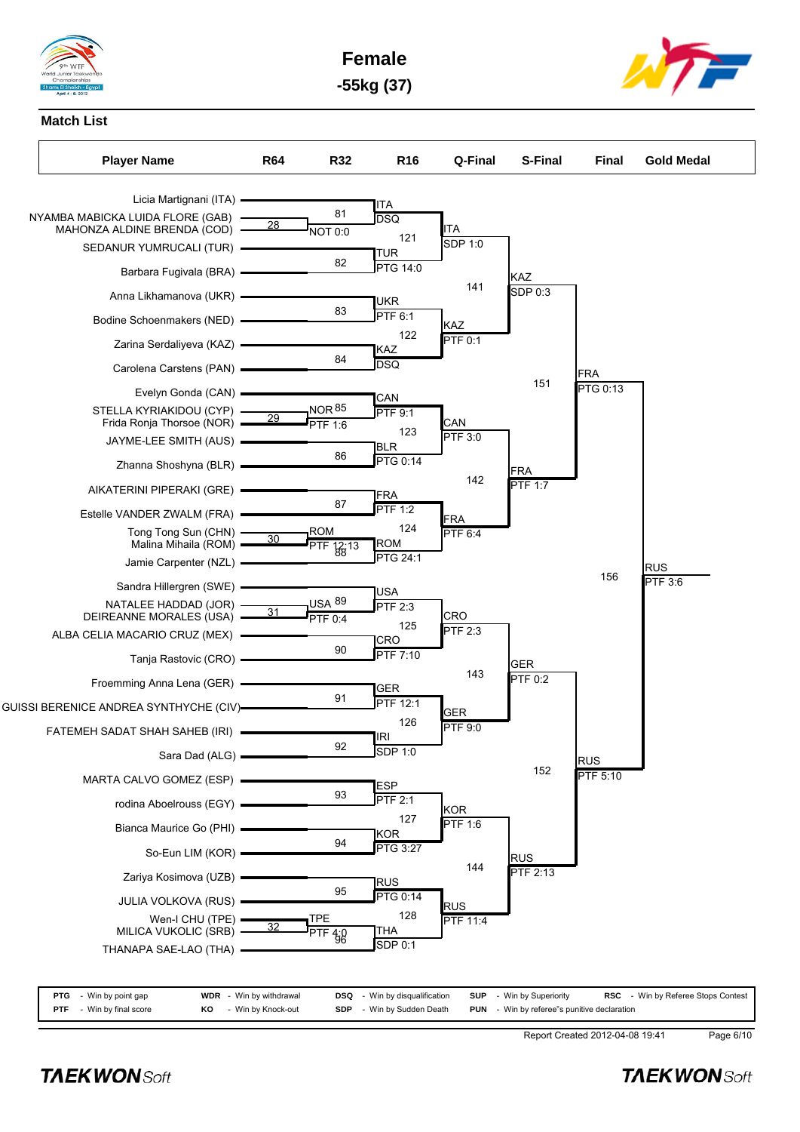

**Female -55kg (37)**



#### **Match List**



| <b>PTG</b> - Win by point gap   | <b>WDR</b> - Win by withdrawal | <b>DSQ</b> - Win by disqualification | <b>SUP</b> - Win by Superiority                    | <b>RSC</b> - Win by Referee Stops Contest |
|---------------------------------|--------------------------------|--------------------------------------|----------------------------------------------------|-------------------------------------------|
| <b>PTF</b> - Win by final score | <b>KO</b> - Win by Knock-out   | <b>SDP</b> - Win by Sudden Death     | <b>PUN</b> - Win by referee"s punitive declaration |                                           |

Report Created 2012-04-08 19:41 Page 6/10

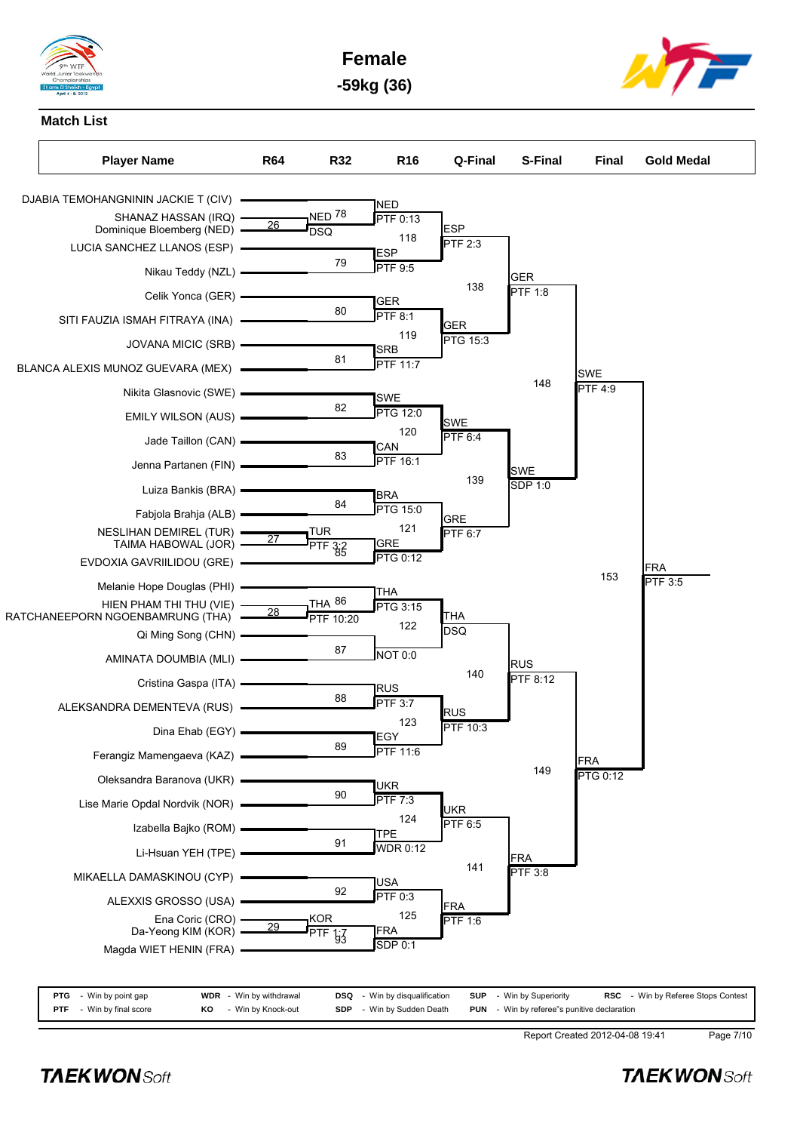

**Female -59kg (36)**



**Match List**



| <b>PTG</b> - Win by point gap   | <b>WDR</b> - Win by withdrawal | <b>DSQ</b> - Win by disqualification | <b>SUP</b> - Win by Superiority                    | RSC - Win by Referee Stops Contest |
|---------------------------------|--------------------------------|--------------------------------------|----------------------------------------------------|------------------------------------|
| <b>PTF</b> - Win by final score | <b>KO</b> - Win by Knock-out   | <b>SDP</b> - Win by Sudden Death     | <b>PUN</b> - Win by referee"s punitive declaration |                                    |

Report Created 2012-04-08 19:41 Page 7/10

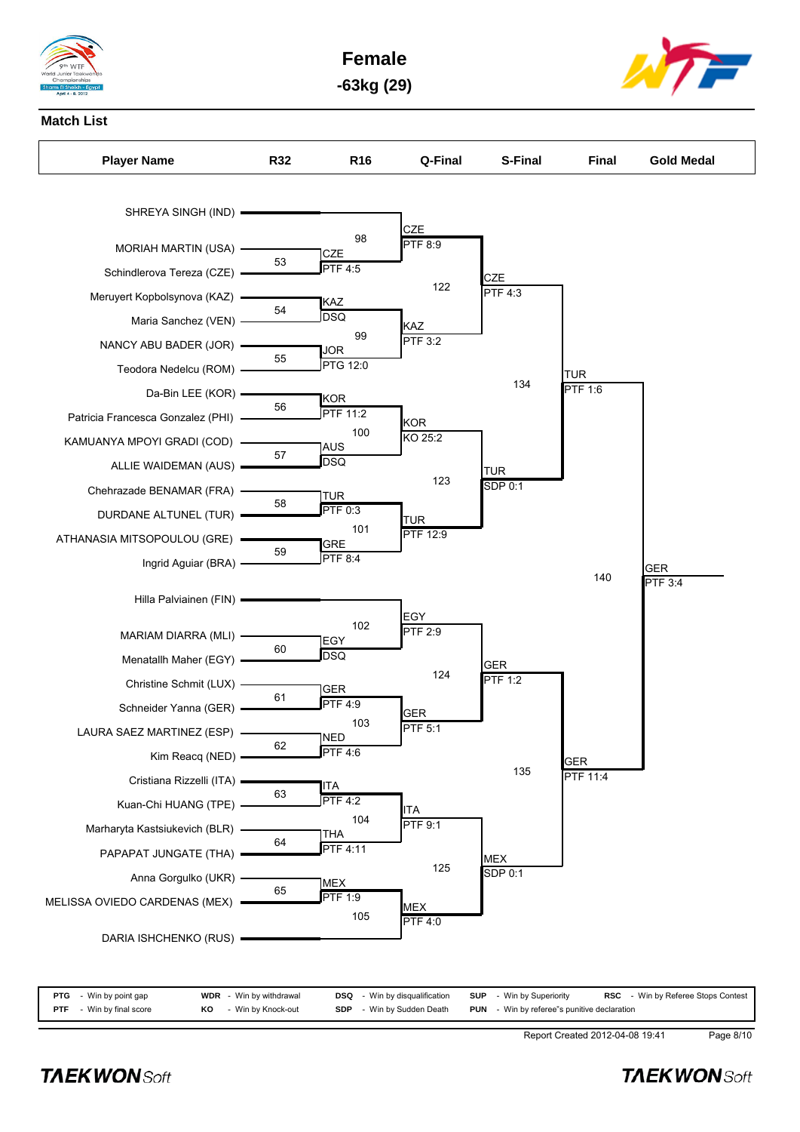

**Female -63kg (29)**



#### **Match List**



| <b>PTG</b> - Win by point gap   | <b>WDR</b> - Win by withdrawal | <b>DSQ</b> - Win by disqualification |  | <b>SUP</b> - Win by Superiority                    |  | <b>RSC</b> - Win by Referee Stops Contest |
|---------------------------------|--------------------------------|--------------------------------------|--|----------------------------------------------------|--|-------------------------------------------|
| <b>PTF</b> - Win by final score | <b>KO</b> - Win by Knock-out   | <b>SDP</b> - Win by Sudden Death     |  | <b>PUN</b> - Win by referee"s punitive declaration |  |                                           |

Report Created 2012-04-08 19:41 Page 8/10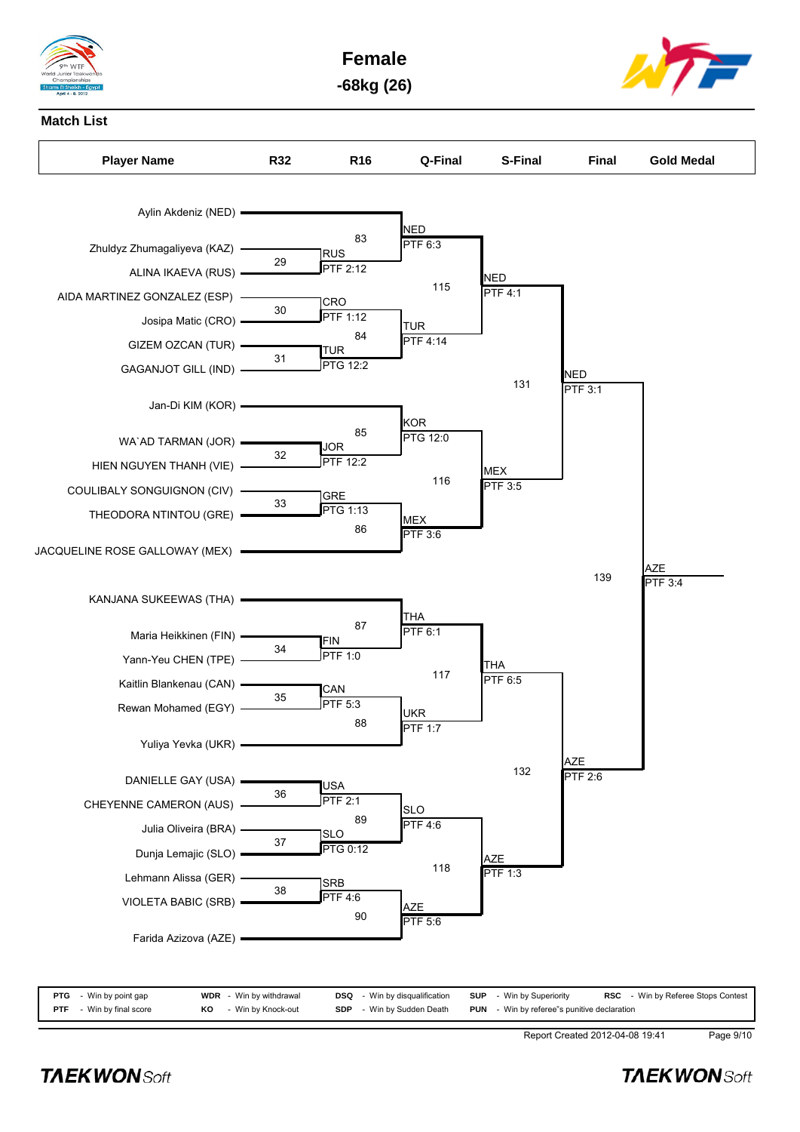

**Female -68kg (26)**



#### **Match List**



| <b>PTG</b> - Win by point gap   |    | <b>WDR</b> - Win by withdrawal | <b>DSQ</b> - Win by disqualification | <b>SUP</b> - Win by Superiority                    | <b>RSC</b> - Win by Referee Stops Contest |
|---------------------------------|----|--------------------------------|--------------------------------------|----------------------------------------------------|-------------------------------------------|
| <b>PTF</b> - Win by final score | KO | - Win by Knock-out             | <b>SDP</b> - Win by Sudden Death     | <b>PUN</b> - Win by referee"s punitive declaration |                                           |
|                                 |    |                                |                                      |                                                    |                                           |

Report Created 2012-04-08 19:41 Page 9/10